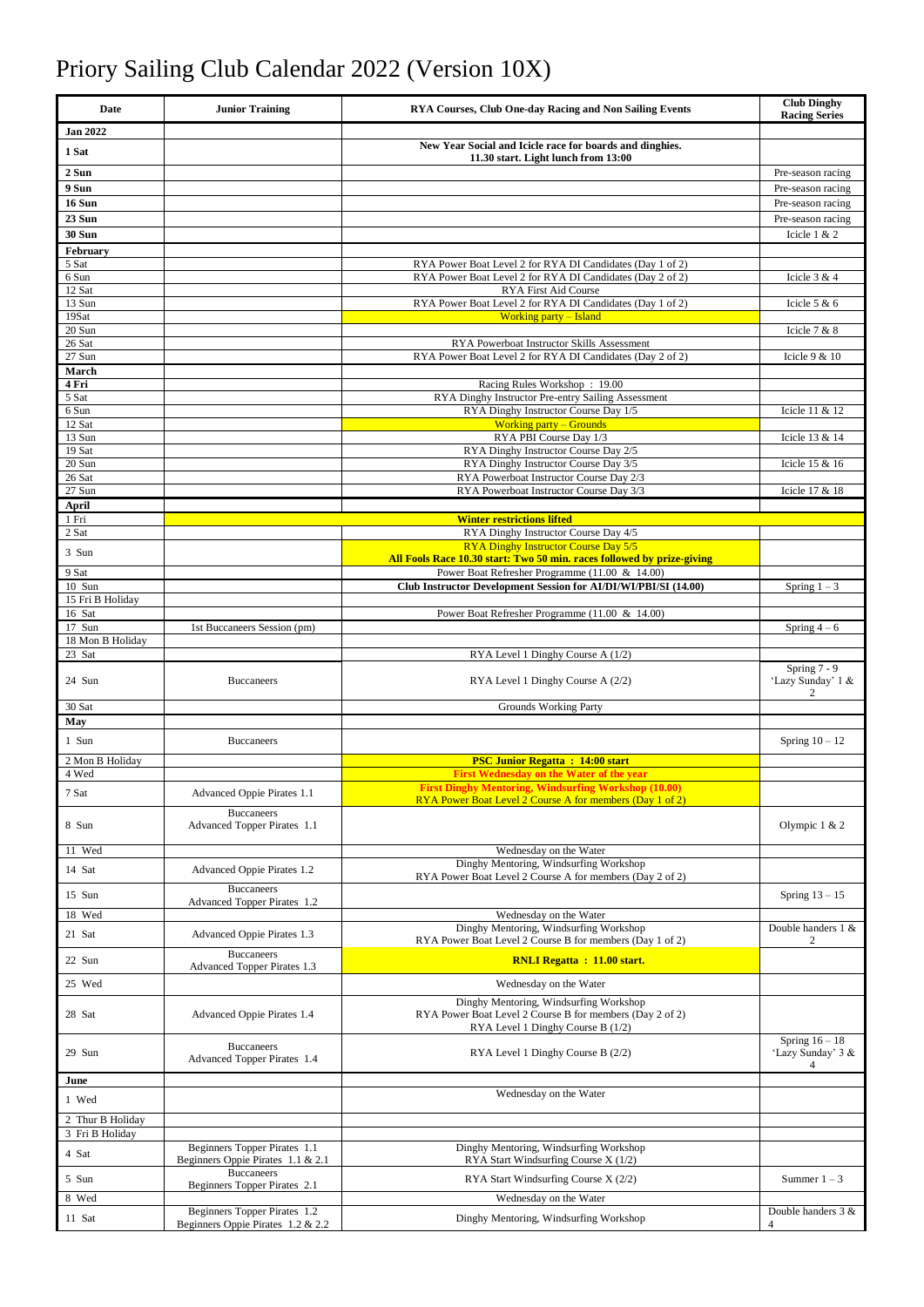## Priory Sailing Club Calendar 2022 (Version 10X)

| Date                       | <b>Junior Training</b>                                  | <b>RYA Courses, Club One-day Racing and Non Sailing Events</b>                                                                          | <b>Club Dinghy</b><br><b>Racing Series</b> |
|----------------------------|---------------------------------------------------------|-----------------------------------------------------------------------------------------------------------------------------------------|--------------------------------------------|
| <b>Jan 2022</b>            |                                                         |                                                                                                                                         |                                            |
| 1 Sat                      |                                                         | New Year Social and Icicle race for boards and dinghies.<br>11.30 start. Light lunch from 13:00                                         |                                            |
| 2 Sun                      |                                                         |                                                                                                                                         | Pre-season racing                          |
| 9 Sun                      |                                                         |                                                                                                                                         | Pre-season racing                          |
| 16 Sun<br>23 Sun           |                                                         |                                                                                                                                         | Pre-season racing<br>Pre-season racing     |
| <b>30 Sun</b>              |                                                         |                                                                                                                                         | Icicle 1 & 2                               |
| February                   |                                                         |                                                                                                                                         |                                            |
| 5 Sat                      |                                                         | RYA Power Boat Level 2 for RYA DI Candidates (Day 1 of 2)<br>RYA Power Boat Level 2 for RYA DI Candidates (Day 2 of 2)                  |                                            |
| 6 Sun<br>12 Sat            |                                                         | <b>RYA First Aid Course</b>                                                                                                             | Icicle $3 & 4$                             |
| 13 Sun                     |                                                         | RYA Power Boat Level 2 for RYA DI Candidates (Day 1 of 2)                                                                               | Icicle $5 & 6$                             |
| 19Sat<br>20 Sun            |                                                         | <b>Working party - Island</b>                                                                                                           | Icicle $7 & 8$                             |
| 26 Sat                     |                                                         | RYA Powerboat Instructor Skills Assessment                                                                                              |                                            |
| 27 Sun                     |                                                         | RYA Power Boat Level 2 for RYA DI Candidates (Day 2 of 2)                                                                               | Icicle $9 & 10$                            |
| March<br>4 Fri             |                                                         | Racing Rules Workshop: 19.00                                                                                                            |                                            |
| 5 Sat                      |                                                         | RYA Dinghy Instructor Pre-entry Sailing Assessment                                                                                      |                                            |
| 6 Sun<br>12 Sat            |                                                         | RYA Dinghy Instructor Course Day 1/5<br><b>Working party – Grounds</b>                                                                  | Icicle 11 & 12                             |
| 13 Sun                     |                                                         | RYA PBI Course Day 1/3                                                                                                                  | Icicle 13 & 14                             |
| 19 Sat<br>20 Sun           |                                                         | RYA Dinghy Instructor Course Day 2/5<br>RYA Dinghy Instructor Course Day 3/5                                                            | Icicle 15 & 16                             |
| 26 Sat                     |                                                         | RYA Powerboat Instructor Course Day 2/3                                                                                                 |                                            |
| 27 Sun                     |                                                         | RYA Powerboat Instructor Course Day 3/3                                                                                                 | Icicle 17 & 18                             |
| April<br>1 Fri             |                                                         | <b>Winter restrictions lifted</b>                                                                                                       |                                            |
| 2 Sat                      |                                                         | RYA Dinghy Instructor Course Day 4/5                                                                                                    |                                            |
| 3 Sun                      |                                                         | RYA Dinghy Instructor Course Day 5/5<br>All Fools Race 10.30 start: Two 50 min. races followed by prize-giving                          |                                            |
| 9 Sat                      |                                                         | Power Boat Refresher Programme (11.00 & 14.00)                                                                                          |                                            |
| 10 Sun                     |                                                         | Club Instructor Development Session for AI/DI/WI/PBI/SI (14.00)                                                                         | Spring $1 - 3$                             |
| 15 Fri B Holiday<br>16 Sat |                                                         | Power Boat Refresher Programme (11.00 & 14.00)                                                                                          |                                            |
| 17 Sun                     | 1st Buccaneers Session (pm)                             |                                                                                                                                         | Spring $4-6$                               |
| 18 Mon B Holiday           |                                                         |                                                                                                                                         |                                            |
| 23 Sat                     |                                                         | RYA Level 1 Dinghy Course A (1/2)                                                                                                       | Spring $7 - 9$                             |
| 24 Sun                     | <b>Buccaneers</b>                                       | RYA Level 1 Dinghy Course A (2/2)                                                                                                       | 'Lazy Sunday' 1 &<br>2                     |
| 30 Sat                     |                                                         | <b>Grounds Working Party</b>                                                                                                            |                                            |
| May                        |                                                         |                                                                                                                                         |                                            |
| 1 Sun                      | <b>Buccaneers</b>                                       |                                                                                                                                         | Spring $10 - 12$                           |
| 2 Mon B Holiday<br>4 Wed   |                                                         | <b>PSC Junior Regatta: 14:00 start</b><br><b>First Wednesday on the Water of the year</b>                                               |                                            |
| 7 Sat                      | Advanced Oppie Pirates 1.1                              | <b>First Dinghy Mentoring, Windsurfing Workshop (10.00)</b>                                                                             |                                            |
|                            | <b>Buccaneers</b>                                       | RYA Power Boat Level 2 Course A for members (Day 1 of 2)                                                                                |                                            |
| 8 Sun                      | Advanced Topper Pirates 1.1                             |                                                                                                                                         | Olympic $1 & 2$                            |
| 11 Wed                     |                                                         | Wednesday on the Water                                                                                                                  |                                            |
| 14 Sat                     | Advanced Oppie Pirates 1.2                              | Dinghy Mentoring, Windsurfing Workshop                                                                                                  |                                            |
|                            | <b>Buccaneers</b>                                       | RYA Power Boat Level 2 Course A for members (Day 2 of 2)                                                                                |                                            |
| 15 Sun                     | <b>Advanced Topper Pirates 1.2</b>                      |                                                                                                                                         | Spring $13 - 15$                           |
| 18 Wed                     |                                                         | Wednesday on the Water<br>Dinghy Mentoring, Windsurfing Workshop                                                                        | Double handers 1 &                         |
| 21 Sat                     | Advanced Oppie Pirates 1.3                              | RYA Power Boat Level 2 Course B for members (Day 1 of 2)                                                                                | 2                                          |
| 22 Sun                     | <b>Buccaneers</b><br><b>Advanced Topper Pirates 1.3</b> | <b>RNLI Regatta: 11.00 start.</b>                                                                                                       |                                            |
| 25 Wed                     |                                                         | Wednesday on the Water                                                                                                                  |                                            |
| 28 Sat                     | Advanced Oppie Pirates 1.4                              | Dinghy Mentoring, Windsurfing Workshop<br>RYA Power Boat Level 2 Course B for members (Day 2 of 2)<br>RYA Level 1 Dinghy Course B (1/2) |                                            |
| 29 Sun                     | <b>Buccaneers</b><br><b>Advanced Topper Pirates 1.4</b> | RYA Level 1 Dinghy Course B (2/2)                                                                                                       | Spring $16 - 18$<br>'Lazy Sunday' 3 &<br>4 |
| June                       |                                                         |                                                                                                                                         |                                            |
| 1 Wed                      |                                                         | Wednesday on the Water                                                                                                                  |                                            |
| 2 Thur B Holiday           |                                                         |                                                                                                                                         |                                            |
| 3 Fri B Holiday            | Beginners Topper Pirates 1.1                            | Dinghy Mentoring, Windsurfing Workshop                                                                                                  |                                            |
| 4 Sat                      | Beginners Oppie Pirates 1.1 & 2.1                       | RYA Start Windsurfing Course X (1/2)                                                                                                    |                                            |
| 5 Sun                      | <b>Buccaneers</b><br>Beginners Topper Pirates 2.1       | RYA Start Windsurfing Course X (2/2)                                                                                                    | Summer $1 - 3$                             |
| 8 Wed                      | Beginners Topper Pirates 1.2                            | Wednesday on the Water                                                                                                                  | Double handers 3 &                         |
| 11 Sat                     | Beginners Oppie Pirates 1.2 & 2.2                       | Dinghy Mentoring, Windsurfing Workshop                                                                                                  | 4                                          |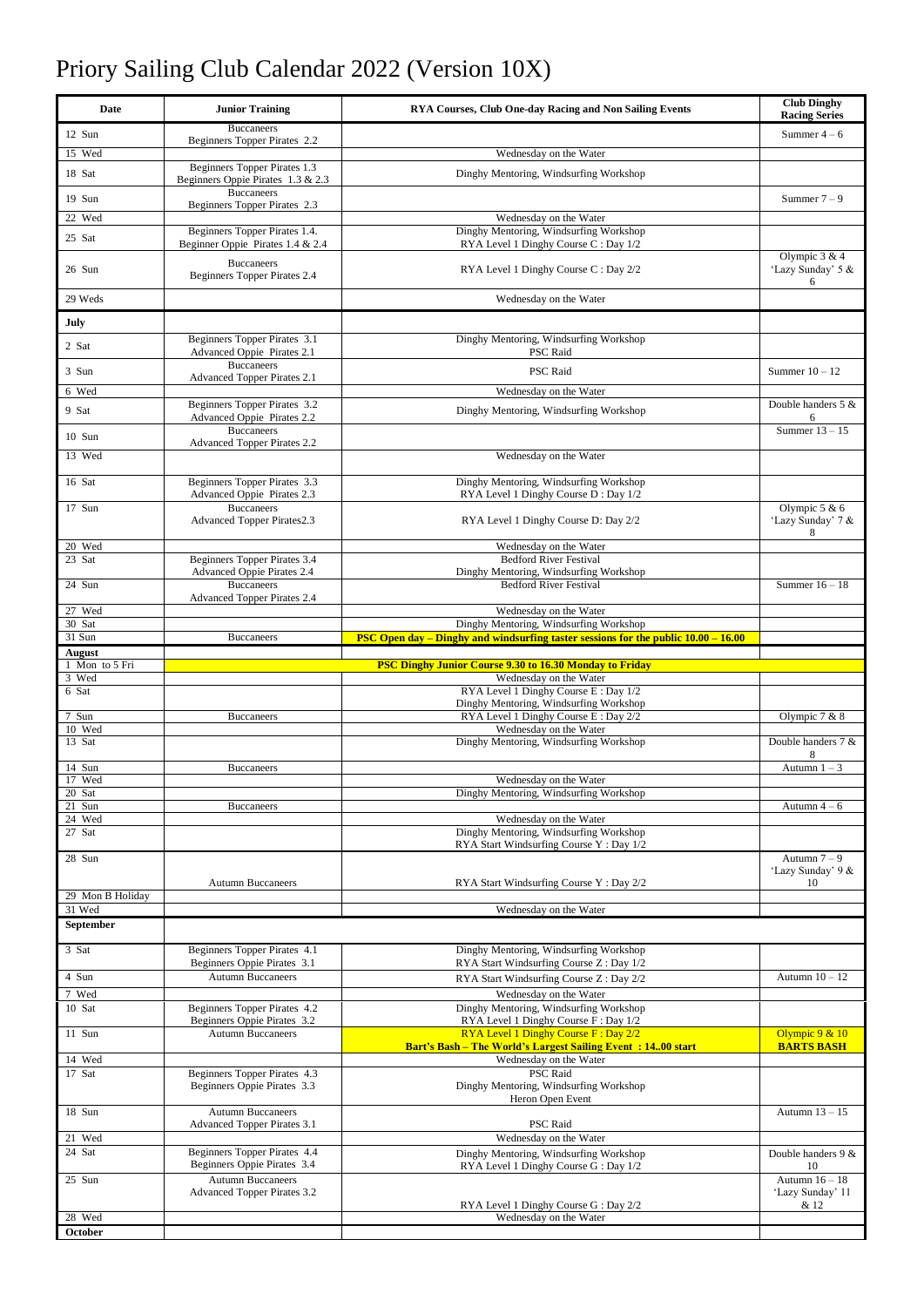## Priory Sailing Club Calendar 2022 (Version 10X)

| Date                            | <b>Junior Training</b>                                            | <b>RYA Courses, Club One-day Racing and Non Sailing Events</b>                                              | <b>Club Dinghy</b><br><b>Racing Series</b> |
|---------------------------------|-------------------------------------------------------------------|-------------------------------------------------------------------------------------------------------------|--------------------------------------------|
| 12 Sun                          | <b>Buccaneers</b><br>Beginners Topper Pirates 2.2                 |                                                                                                             | Summer $4-6$                               |
| 15 Wed                          |                                                                   | Wednesday on the Water                                                                                      |                                            |
| 18 Sat                          | Beginners Topper Pirates 1.3<br>Beginners Oppie Pirates 1.3 & 2.3 | Dinghy Mentoring, Windsurfing Workshop                                                                      |                                            |
| 19 Sun                          | <b>Buccaneers</b><br>Beginners Topper Pirates 2.3                 |                                                                                                             | Summer $7-9$                               |
| 22 Wed                          |                                                                   | Wednesday on the Water                                                                                      |                                            |
| 25 Sat                          | Beginners Topper Pirates 1.4.<br>Beginner Oppie Pirates 1.4 & 2.4 | Dinghy Mentoring, Windsurfing Workshop<br>RYA Level 1 Dinghy Course C: Day 1/2                              | Olympic $3 & 4$                            |
| 26 Sun                          | <b>Buccaneers</b><br>Beginners Topper Pirates 2.4                 | RYA Level 1 Dinghy Course C: Day 2/2                                                                        | 'Lazy Sunday' 5 &<br>6                     |
| 29 Weds                         |                                                                   | Wednesday on the Water                                                                                      |                                            |
| July                            |                                                                   |                                                                                                             |                                            |
| 2 Sat                           | Beginners Topper Pirates 3.1<br>Advanced Oppie Pirates 2.1        | Dinghy Mentoring, Windsurfing Workshop<br>PSC Raid                                                          |                                            |
| 3 Sun                           | <b>Buccaneers</b><br>Advanced Topper Pirates 2.1                  | PSC Raid                                                                                                    | Summer $10 - 12$                           |
| 6 Wed                           |                                                                   | Wednesday on the Water                                                                                      |                                            |
| 9 Sat                           | Beginners Topper Pirates 3.2<br>Advanced Oppie Pirates 2.2        | Dinghy Mentoring, Windsurfing Workshop                                                                      | Double handers 5 &<br>6                    |
| 10 Sun                          | <b>Buccaneers</b><br><b>Advanced Topper Pirates 2.2</b>           |                                                                                                             | Summer $13 - 15$                           |
| 13 Wed                          |                                                                   | Wednesday on the Water                                                                                      |                                            |
| 16 Sat                          | Beginners Topper Pirates 3.3<br>Advanced Oppie Pirates 2.3        | Dinghy Mentoring, Windsurfing Workshop<br>RYA Level 1 Dinghy Course D: Day 1/2                              |                                            |
| 17 Sun                          | <b>Buccaneers</b><br><b>Advanced Topper Pirates2.3</b>            | RYA Level 1 Dinghy Course D: Day 2/2                                                                        | Olympic $5 & 6$<br>'Lazy Sunday' 7 &       |
| 20 Wed                          |                                                                   | Wednesday on the Water                                                                                      | 8                                          |
| 23 Sat                          | <b>Beginners Topper Pirates 3.4</b>                               | <b>Bedford River Festival</b>                                                                               |                                            |
| 24 Sun                          | Advanced Oppie Pirates 2.4<br>Buccaneers                          | Dinghy Mentoring, Windsurfing Workshop<br><b>Bedford River Festival</b>                                     | Summer $16 - 18$                           |
| 27 Wed                          | <b>Advanced Topper Pirates 2.4</b>                                | Wednesday on the Water                                                                                      |                                            |
| 30 Sat                          |                                                                   | Dinghy Mentoring, Windsurfing Workshop                                                                      |                                            |
| 31 Sun                          | <b>Buccaneers</b>                                                 | PSC Open day – Dinghy and windsurfing taster sessions for the public 10.00 – 16.00                          |                                            |
| <b>August</b><br>1 Mon to 5 Fri |                                                                   | <b>PSC Dinghy Junior Course 9.30 to 16.30 Monday to Friday</b>                                              |                                            |
| 3 Wed                           |                                                                   | Wednesday on the Water                                                                                      |                                            |
| 6 Sat                           |                                                                   | RYA Level 1 Dinghy Course E: Day 1/2<br>Dinghy Mentoring, Windsurfing Workshop                              |                                            |
| 7 Sun                           | <b>Buccaneers</b>                                                 | RYA Level 1 Dinghy Course E: Day 2/2                                                                        | Olympic $7 & 8$                            |
| 10 Wed<br>13 Sat                |                                                                   | Wednesday on the Water<br>Dinghy Mentoring, Windsurfing Workshop                                            | Double handers 7 &<br>8                    |
| 14 Sun                          | <b>Buccaneers</b>                                                 |                                                                                                             | Autumn $1 - 3$                             |
| 17 Wed<br>20 Sat                |                                                                   | Wednesday on the Water<br>Dinghy Mentoring, Windsurfing Workshop                                            |                                            |
| 21 Sun                          | <b>Buccaneers</b>                                                 |                                                                                                             | Autumn $4-6$                               |
| 24 Wed<br>27 Sat                |                                                                   | Wednesday on the Water<br>Dinghy Mentoring, Windsurfing Workshop<br>RYA Start Windsurfing Course Y: Day 1/2 |                                            |
| 28 Sun                          |                                                                   |                                                                                                             | Autumn $7 - 9$                             |
|                                 | <b>Autumn Buccaneers</b>                                          | RYA Start Windsurfing Course Y: Day 2/2                                                                     | 'Lazy Sunday' 9 &<br>10                    |
| 29 Mon B Holiday                |                                                                   |                                                                                                             |                                            |
| 31 Wed<br><b>September</b>      |                                                                   | Wednesday on the Water                                                                                      |                                            |
|                                 |                                                                   |                                                                                                             |                                            |
| 3 Sat                           | Beginners Topper Pirates 4.1<br>Beginners Oppie Pirates 3.1       | Dinghy Mentoring, Windsurfing Workshop<br>RYA Start Windsurfing Course Z: Day 1/2                           |                                            |
| 4 Sun                           | <b>Autumn Buccaneers</b>                                          | RYA Start Windsurfing Course Z: Day 2/2                                                                     | Autumn $10 - 12$                           |
| 7 Wed<br>10 Sat                 | Beginners Topper Pirates 4.2                                      | Wednesday on the Water<br>Dinghy Mentoring, Windsurfing Workshop                                            |                                            |
| 11 Sun                          | Beginners Oppie Pirates 3.2<br><b>Autumn Buccaneers</b>           | RYA Level 1 Dinghy Course F: Day 1/2<br>RYA Level 1 Dinghy Course F: Day 2/2                                | Olympic $9 & 10$                           |
|                                 |                                                                   | <b>Bart's Bash - The World's Largest Sailing Event: 1400 start</b><br>Wednesday on the Water                | <b>BARTS BASH</b>                          |
| 14 Wed<br>17 Sat                | Beginners Topper Pirates 4.3                                      | <b>PSC</b> Raid                                                                                             |                                            |
|                                 | Beginners Oppie Pirates 3.3                                       | Dinghy Mentoring, Windsurfing Workshop<br>Heron Open Event                                                  |                                            |
| 18 Sun                          | <b>Autumn Buccaneers</b><br>Advanced Topper Pirates 3.1           | PSC Raid                                                                                                    | Autumn 13 - 15                             |
| 21 Wed                          |                                                                   | Wednesday on the Water                                                                                      |                                            |
| 24 Sat                          | Beginners Topper Pirates 4.4<br>Beginners Oppie Pirates 3.4       | Dinghy Mentoring, Windsurfing Workshop<br>RYA Level 1 Dinghy Course G: Day 1/2                              | Double handers 9 &<br>10                   |
| 25 Sun                          | <b>Autumn Buccaneers</b><br><b>Advanced Topper Pirates 3.2</b>    |                                                                                                             | Autumn $16 - 18$<br>'Lazy Sunday' 11       |
| 28 Wed                          |                                                                   | RYA Level 1 Dinghy Course G: Day 2/2<br>Wednesday on the Water                                              | & 12                                       |
| October                         |                                                                   |                                                                                                             |                                            |